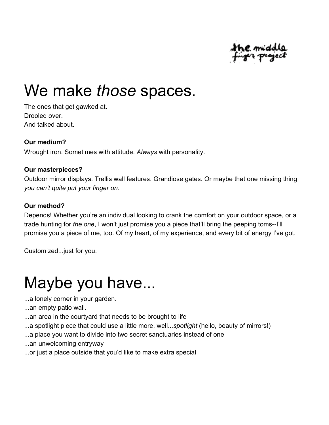

### We make *those* spaces.

The ones that get gawked at. Drooled over. And talked about.

#### **Our medium?**

Wrought iron. Sometimes with attitude. *Always* with personality.

#### **Our masterpieces?**

Outdoor mirror displays. Trellis wall features. Grandiose gates. Or maybe that one missing thing *you can't quite put your finger on.*

#### **Our method?**

Depends! Whether you're an individual looking to crank the comfort on your outdoor space, or a trade hunting for *the one*, I won't just promise you a piece that'll bring the peeping toms--I'll promise you a piece of me, too. Of my heart, of my experience, and every bit of energy I've got.

Customized...just for you.

## Maybe you have...

- ...a lonely corner in your garden.
- ...an empty patio wall.
- ...an area in the courtyard that needs to be brought to life
- ...a spotlight piece that could use a little more, well...*spotlight* (hello, beauty of mirrors!)
- ...a place you want to divide into two secret sanctuaries instead of one
- ...an unwelcoming entryway
- ...or just a place outside that you'd like to make extra special